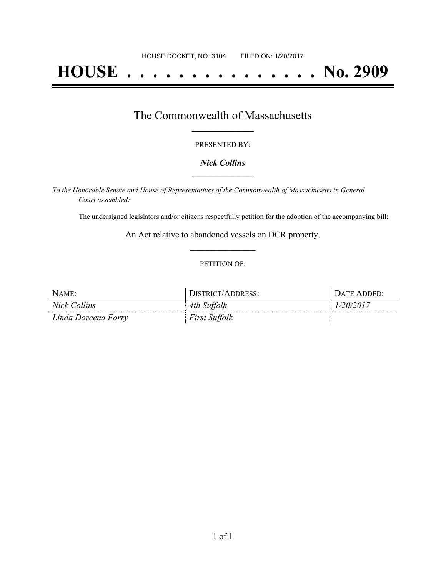# **HOUSE . . . . . . . . . . . . . . . No. 2909**

## The Commonwealth of Massachusetts **\_\_\_\_\_\_\_\_\_\_\_\_\_\_\_\_\_**

#### PRESENTED BY:

#### *Nick Collins* **\_\_\_\_\_\_\_\_\_\_\_\_\_\_\_\_\_**

*To the Honorable Senate and House of Representatives of the Commonwealth of Massachusetts in General Court assembled:*

The undersigned legislators and/or citizens respectfully petition for the adoption of the accompanying bill:

An Act relative to abandoned vessels on DCR property. **\_\_\_\_\_\_\_\_\_\_\_\_\_\_\_**

#### PETITION OF:

| NAME:               | DISTRICT/ADDRESS:    | <b>I DATE ADDED:</b> |
|---------------------|----------------------|----------------------|
| Nick Collins        | 4th Suffolk          | 1/20/2017            |
| Linda Dorcena Forry | <b>First Suffolk</b> |                      |